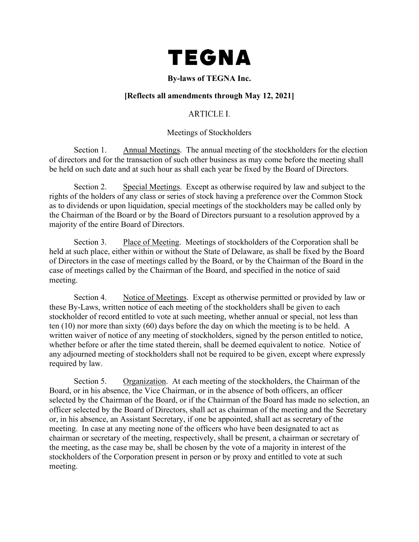

### **By-laws of TEGNA Inc.**

## **[Reflects all amendments through May 12, 2021]**

# **ARTICLE I.**

### Meetings of Stockholders

Section 1. Annual Meetings. The annual meeting of the stockholders for the election of directors and for the transaction of such other business as may come before the meeting shall be held on such date and at such hour as shall each year be fixed by the Board of Directors.

Section 2. Special Meetings. Except as otherwise required by law and subject to the rights of the holders of any class or series of stock having a preference over the Common Stock as to dividends or upon liquidation, special meetings of the stockholders may be called only by the Chairman of the Board or by the Board of Directors pursuant to a resolution approved by a majority of the entire Board of Directors.

Section 3. Place of Meeting. Meetings of stockholders of the Corporation shall be held at such place, either within or without the State of Delaware, as shall be fixed by the Board of Directors in the case of meetings called by the Board, or by the Chairman of the Board in the case of meetings called by the Chairman of the Board, and specified in the notice of said meeting.

Section 4. Notice of Meetings. Except as otherwise permitted or provided by law or these By-Laws, written notice of each meeting of the stockholders shall be given to each stockholder of record entitled to vote at such meeting, whether annual or special, not less than ten (10) nor more than sixty (60) days before the day on which the meeting is to be held. A written waiver of notice of any meeting of stockholders, signed by the person entitled to notice, whether before or after the time stated therein, shall be deemed equivalent to notice. Notice of any adjourned meeting of stockholders shall not be required to be given, except where expressly required by law.

Section 5. Organization. At each meeting of the stockholders, the Chairman of the Board, or in his absence, the Vice Chairman, or in the absence of both officers, an officer selected by the Chairman of the Board, or if the Chairman of the Board has made no selection, an officer selected by the Board of Directors, shall act as chairman of the meeting and the Secretary or, in his absence, an Assistant Secretary, if one be appointed, shall act as secretary of the meeting. In case at any meeting none of the officers who have been designated to act as chairman or secretary of the meeting, respectively, shall be present, a chairman or secretary of the meeting, as the case may be, shall be chosen by the vote of a majority in interest of the stockholders of the Corporation present in person or by proxy and entitled to vote at such meeting.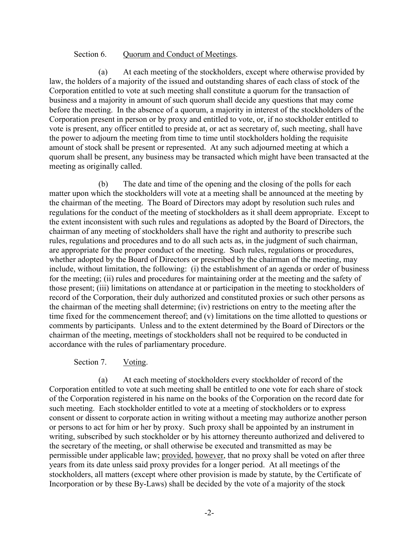#### Section 6. Quorum and Conduct of Meetings.

(a) At each meeting of the stockholders, except where otherwise provided by law, the holders of a majority of the issued and outstanding shares of each class of stock of the Corporation entitled to vote at such meeting shall constitute a quorum for the transaction of business and a majority in amount of such quorum shall decide any questions that may come before the meeting. In the absence of a quorum, a majority in interest of the stockholders of the Corporation present in person or by proxy and entitled to vote, or, if no stockholder entitled to vote is present, any officer entitled to preside at, or act as secretary of, such meeting, shall have the power to adjourn the meeting from time to time until stockholders holding the requisite amount of stock shall be present or represented. At any such adjourned meeting at which a quorum shall be present, any business may be transacted which might have been transacted at the meeting as originally called.

(b) The date and time of the opening and the closing of the polls for each matter upon which the stockholders will vote at a meeting shall be announced at the meeting by the chairman of the meeting. The Board of Directors may adopt by resolution such rules and regulations for the conduct of the meeting of stockholders as it shall deem appropriate. Except to the extent inconsistent with such rules and regulations as adopted by the Board of Directors, the chairman of any meeting of stockholders shall have the right and authority to prescribe such rules, regulations and procedures and to do all such acts as, in the judgment of such chairman, are appropriate for the proper conduct of the meeting. Such rules, regulations or procedures, whether adopted by the Board of Directors or prescribed by the chairman of the meeting, may include, without limitation, the following: (i) the establishment of an agenda or order of business for the meeting; (ii) rules and procedures for maintaining order at the meeting and the safety of those present; (iii) limitations on attendance at or participation in the meeting to stockholders of record of the Corporation, their duly authorized and constituted proxies or such other persons as the chairman of the meeting shall determine; (iv) restrictions on entry to the meeting after the time fixed for the commencement thereof; and (v) limitations on the time allotted to questions or comments by participants. Unless and to the extent determined by the Board of Directors or the chairman of the meeting, meetings of stockholders shall not be required to be conducted in accordance with the rules of parliamentary procedure.

### Section 7. Voting.

(a) At each meeting of stockholders every stockholder of record of the Corporation entitled to vote at such meeting shall be entitled to one vote for each share of stock of the Corporation registered in his name on the books of the Corporation on the record date for such meeting. Each stockholder entitled to vote at a meeting of stockholders or to express consent or dissent to corporate action in writing without a meeting may authorize another person or persons to act for him or her by proxy. Such proxy shall be appointed by an instrument in writing, subscribed by such stockholder or by his attorney thereunto authorized and delivered to the secretary of the meeting, or shall otherwise be executed and transmitted as may be permissible under applicable law; provided, however, that no proxy shall be voted on after three years from its date unless said proxy provides for a longer period. At all meetings of the stockholders, all matters (except where other provision is made by statute, by the Certificate of Incorporation or by these By-Laws) shall be decided by the vote of a majority of the stock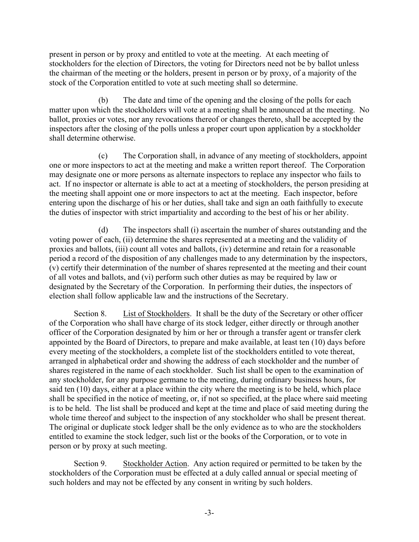present in person or by proxy and entitled to vote at the meeting. At each meeting of stockholders for the election of Directors, the voting for Directors need not be by ballot unless the chairman of the meeting or the holders, present in person or by proxy, of a majority of the stock of the Corporation entitled to vote at such meeting shall so determine.

(b) The date and time of the opening and the closing of the polls for each matter upon which the stockholders will vote at a meeting shall be announced at the meeting. No ballot, proxies or votes, nor any revocations thereof or changes thereto, shall be accepted by the inspectors after the closing of the polls unless a proper court upon application by a stockholder shall determine otherwise.

(c) The Corporation shall, in advance of any meeting of stockholders, appoint one or more inspectors to act at the meeting and make a written report thereof. The Corporation may designate one or more persons as alternate inspectors to replace any inspector who fails to act. If no inspector or alternate is able to act at a meeting of stockholders, the person presiding at the meeting shall appoint one or more inspectors to act at the meeting. Each inspector, before entering upon the discharge of his or her duties, shall take and sign an oath faithfully to execute the duties of inspector with strict impartiality and according to the best of his or her ability.

(d) The inspectors shall (i) ascertain the number of shares outstanding and the voting power of each, (ii) determine the shares represented at a meeting and the validity of proxies and ballots, (iii) count all votes and ballots, (iv) determine and retain for a reasonable period a record of the disposition of any challenges made to any determination by the inspectors, (v) certify their determination of the number of shares represented at the meeting and their count of all votes and ballots, and (vi) perform such other duties as may be required by law or designated by the Secretary of the Corporation. In performing their duties, the inspectors of election shall follow applicable law and the instructions of the Secretary.

Section 8. List of Stockholders. It shall be the duty of the Secretary or other officer of the Corporation who shall have charge of its stock ledger, either directly or through another officer of the Corporation designated by him or her or through a transfer agent or transfer clerk appointed by the Board of Directors, to prepare and make available, at least ten (10) days before every meeting of the stockholders, a complete list of the stockholders entitled to vote thereat, arranged in alphabetical order and showing the address of each stockholder and the number of shares registered in the name of each stockholder. Such list shall be open to the examination of any stockholder, for any purpose germane to the meeting, during ordinary business hours, for said ten (10) days, either at a place within the city where the meeting is to be held, which place shall be specified in the notice of meeting, or, if not so specified, at the place where said meeting is to be held. The list shall be produced and kept at the time and place of said meeting during the whole time thereof and subject to the inspection of any stockholder who shall be present thereat. The original or duplicate stock ledger shall be the only evidence as to who are the stockholders entitled to examine the stock ledger, such list or the books of the Corporation, or to vote in person or by proxy at such meeting.

Section 9. Stockholder Action. Any action required or permitted to be taken by the stockholders of the Corporation must be effected at a duly called annual or special meeting of such holders and may not be effected by any consent in writing by such holders.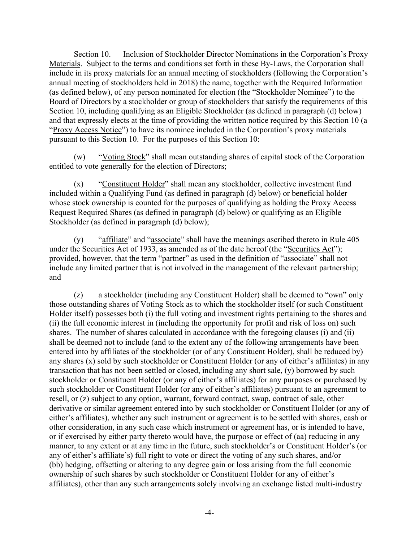<span id="page-3-0"></span>Section 10. Inclusion of Stockholder Director Nominations in the Corporation's Proxy Materials. Subject to the terms and conditions set forth in these By-Laws, the Corporation shall include in its proxy materials for an annual meeting of stockholders (following the Corporation's annual meeting of stockholders held in 2018) the name, together with the Required Information (as defined below), of any person nominated for election (the "Stockholder Nominee") to the Board of Directors by a stockholder or group of stockholders that satisfy the requirements of this [Section](#page-3-0) 10, including qualifying as an Eligible Stockholder (as defined in paragraph (d) below) and that expressly elects at the time of providing the written notice required by this [Section](#page-3-0) 10 (a "Proxy Access Notice") to have its nominee included in the Corporation's proxy materials pursuant to this [Section](#page-3-0) 10. For the purposes of this [Section](#page-3-0) 10:

"Voting Stock" shall mean outstanding shares of capital stock of the Corporation entitled to vote generally for the election of Directors;

(x) "Constituent Holder" shall mean any stockholder, collective investment fund included within a Qualifying Fund (as defined in paragraph (d) below) or beneficial holder whose stock ownership is counted for the purposes of qualifying as holding the Proxy Access Request Required Shares (as defined in paragraph (d) below) or qualifying as an Eligible Stockholder (as defined in paragraph (d) below);

(y) "affiliate" and "associate" shall have the meanings ascribed thereto in Rule 405 under the Securities Act of 1933, as amended as of the date hereof (the "Securities Act"); provided, however, that the term "partner" as used in the definition of "associate" shall not include any limited partner that is not involved in the management of the relevant partnership; and

(z) a stockholder (including any Constituent Holder) shall be deemed to "own" only those outstanding shares of Voting Stock as to which the stockholder itself (or such Constituent Holder itself) possesses both (i) the full voting and investment rights pertaining to the shares and (ii) the full economic interest in (including the opportunity for profit and risk of loss on) such shares. The number of shares calculated in accordance with the foregoing clauses (i) and (ii) shall be deemed not to include (and to the extent any of the following arrangements have been entered into by affiliates of the stockholder (or of any Constituent Holder), shall be reduced by) any shares (x) sold by such stockholder or Constituent Holder (or any of either's affiliates) in any transaction that has not been settled or closed, including any short sale, (y) borrowed by such stockholder or Constituent Holder (or any of either's affiliates) for any purposes or purchased by such stockholder or Constituent Holder (or any of either's affiliates) pursuant to an agreement to resell, or (z) subject to any option, warrant, forward contract, swap, contract of sale, other derivative or similar agreement entered into by such stockholder or Constituent Holder (or any of either's affiliates), whether any such instrument or agreement is to be settled with shares, cash or other consideration, in any such case which instrument or agreement has, or is intended to have, or if exercised by either party thereto would have, the purpose or effect of (aa) reducing in any manner, to any extent or at any time in the future, such stockholder's or Constituent Holder's (or any of either's affiliate's) full right to vote or direct the voting of any such shares, and/or (bb) hedging, offsetting or altering to any degree gain or loss arising from the full economic ownership of such shares by such stockholder or Constituent Holder (or any of either's affiliates), other than any such arrangements solely involving an exchange listed multi-industry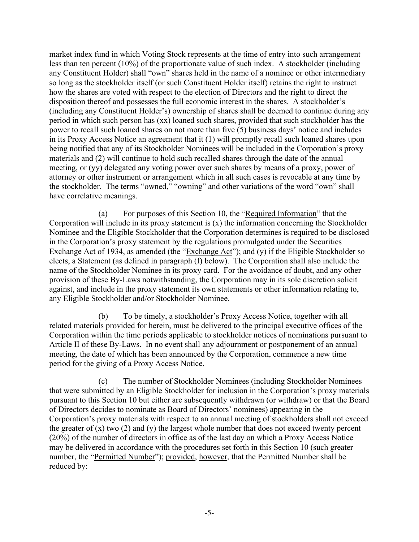market index fund in which Voting Stock represents at the time of entry into such arrangement less than ten percent (10%) of the proportionate value of such index. A stockholder (including any Constituent Holder) shall "own" shares held in the name of a nominee or other intermediary so long as the stockholder itself (or such Constituent Holder itself) retains the right to instruct how the shares are voted with respect to the election of Directors and the right to direct the disposition thereof and possesses the full economic interest in the shares. A stockholder's (including any Constituent Holder's) ownership of shares shall be deemed to continue during any period in which such person has (xx) loaned such shares, provided that such stockholder has the power to recall such loaned shares on not more than five (5) business days' notice and includes in its Proxy Access Notice an agreement that it (1) will promptly recall such loaned shares upon being notified that any of its Stockholder Nominees will be included in the Corporation's proxy materials and (2) will continue to hold such recalled shares through the date of the annual meeting, or (yy) delegated any voting power over such shares by means of a proxy, power of attorney or other instrument or arrangement which in all such cases is revocable at any time by the stockholder. The terms "owned," "owning" and other variations of the word "own" shall have correlative meanings.

(a) For purposes of this [Section](#page-3-0) 10, the "Required Information" that the Corporation will include in its proxy statement is (x) the information concerning the Stockholder Nominee and the Eligible Stockholder that the Corporation determines is required to be disclosed in the Corporation's proxy statement by the regulations promulgated under the Securities Exchange Act of 1934, as amended (the "Exchange Act"); and (y) if the Eligible Stockholder so elects, a Statement (as defined in paragraph (f) below). The Corporation shall also include the name of the Stockholder Nominee in its proxy card. For the avoidance of doubt, and any other provision of these By-Laws notwithstanding, the Corporation may in its sole discretion solicit against, and include in the proxy statement its own statements or other information relating to, any Eligible Stockholder and/or Stockholder Nominee.

(b) To be timely, a stockholder's Proxy Access Notice, together with all related materials provided for herein, must be delivered to the principal executive offices of the Corporation within the time periods applicable to stockholder notices of nominations pursuant to [Article](#page-11-0) II of these By-Laws. In no event shall any adjournment or postponement of an annual meeting, the date of which has been announced by the Corporation, commence a new time period for the giving of a Proxy Access Notice.

(c) The number of Stockholder Nominees (including Stockholder Nominees that were submitted by an Eligible Stockholder for inclusion in the Corporation's proxy materials pursuant to this [Section](#page-3-0) 10 but either are subsequently withdrawn (or withdraw) or that the Board of Directors decides to nominate as Board of Directors' nominees) appearing in the Corporation's proxy materials with respect to an annual meeting of stockholders shall not exceed the greater of  $(x)$  two  $(2)$  and  $(y)$  the largest whole number that does not exceed twenty percent (20%) of the number of directors in office as of the last day on which a Proxy Access Notice may be delivered in accordance with the procedures set forth in this [Section](#page-3-0) 10 (such greater number, the "Permitted Number"); provided, however, that the Permitted Number shall be reduced by: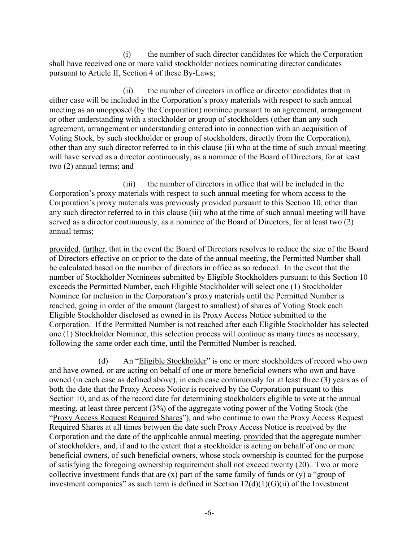(i) the number of such director candidates for which the Corporation shall have received one or more valid stockholder notices nominating director candidates pursuant to [Article](#page-11-0) II, [Section](#page-12-0) 4 of these By-Laws;

(ii) the number of directors in office or director candidates that in either case will be included in the Corporation's proxy materials with respect to such annual meeting as an unopposed (by the Corporation) nominee pursuant to an agreement, arrangement or other understanding with a stockholder or group of stockholders (other than any such agreement, arrangement or understanding entered into in connection with an acquisition of Voting Stock, by such stockholder or group of stockholders, directly from the Corporation), other than any such director referred to in this clause (ii) who at the time of such annual meeting will have served as a director continuously, as a nominee of the Board of Directors, for at least two (2) annual terms; and

(iii) the number of directors in office that will be included in the Corporation's proxy materials with respect to such annual meeting for whom access to the Corporation's proxy materials was previously provided pursuant to this [Section](#page-3-0) 10, other than any such director referred to in this clause (iii) who at the time of such annual meeting will have served as a director continuously, as a nominee of the Board of Directors, for at least two (2) annual terms;

provided, further, that in the event the Board of Directors resolves to reduce the size of the Board of Directors effective on or prior to the date of the annual meeting, the Permitted Number shall be calculated based on the number of directors in office as so reduced. In the event that the number of Stockholder Nominees submitted by Eligible Stockholders pursuant to this [Section](#page-3-0) 10 exceeds the Permitted Number, each Eligible Stockholder will select one (1) Stockholder Nominee for inclusion in the Corporation's proxy materials until the Permitted Number is reached, going in order of the amount (largest to smallest) of shares of Voting Stock each Eligible Stockholder disclosed as owned in its Proxy Access Notice submitted to the Corporation. If the Permitted Number is not reached after each Eligible Stockholder has selected one (1) Stockholder Nominee, this selection process will continue as many times as necessary, following the same order each time, until the Permitted Number is reached.

(d) An "Eligible Stockholder" is one or more stockholders of record who own and have owned, or are acting on behalf of one or more beneficial owners who own and have owned (in each case as defined above), in each case continuously for at least three (3) years as of both the date that the Proxy Access Notice is received by the Corporation pursuant to this [Section](#page-3-0) 10, and as of the record date for determining stockholders eligible to vote at the annual meeting, at least three percent (3%) of the aggregate voting power of the Voting Stock (the "Proxy Access Request Required Shares"), and who continue to own the Proxy Access Request Required Shares at all times between the date such Proxy Access Notice is received by the Corporation and the date of the applicable annual meeting, provided that the aggregate number of stockholders, and, if and to the extent that a stockholder is acting on behalf of one or more beneficial owners, of such beneficial owners, whose stock ownership is counted for the purpose of satisfying the foregoing ownership requirement shall not exceed twenty (20). Two or more collective investment funds that are  $(x)$  part of the same family of funds or  $(y)$  a "group of investment companies" as such term is defined in Section  $12(d)(1)(G)(ii)$  of the Investment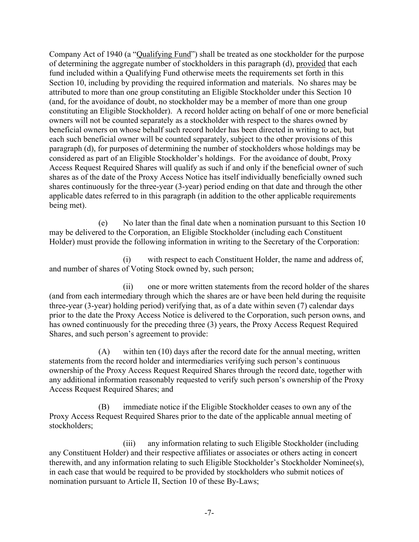Company Act of 1940 (a "Qualifying Fund") shall be treated as one stockholder for the purpose of determining the aggregate number of stockholders in this paragraph (d), provided that each fund included within a Qualifying Fund otherwise meets the requirements set forth in this [Section](#page-3-0) 10, including by providing the required information and materials. No shares may be attributed to more than one group constituting an Eligible Stockholder under this [Section](#page-3-0) 10 (and, for the avoidance of doubt, no stockholder may be a member of more than one group constituting an Eligible Stockholder). A record holder acting on behalf of one or more beneficial owners will not be counted separately as a stockholder with respect to the shares owned by beneficial owners on whose behalf such record holder has been directed in writing to act, but each such beneficial owner will be counted separately, subject to the other provisions of this paragraph (d), for purposes of determining the number of stockholders whose holdings may be considered as part of an Eligible Stockholder's holdings. For the avoidance of doubt, Proxy Access Request Required Shares will qualify as such if and only if the beneficial owner of such shares as of the date of the Proxy Access Notice has itself individually beneficially owned such shares continuously for the three-year (3-year) period ending on that date and through the other applicable dates referred to in this paragraph (in addition to the other applicable requirements being met).

(e) No later than the final date when a nomination pursuant to this [Section](#page-3-0) 10 may be delivered to the Corporation, an Eligible Stockholder (including each Constituent Holder) must provide the following information in writing to the Secretary of the Corporation:

(i) with respect to each Constituent Holder, the name and address of, and number of shares of Voting Stock owned by, such person;

(ii) one or more written statements from the record holder of the shares (and from each intermediary through which the shares are or have been held during the requisite three-year (3-year) holding period) verifying that, as of a date within seven (7) calendar days prior to the date the Proxy Access Notice is delivered to the Corporation, such person owns, and has owned continuously for the preceding three (3) years, the Proxy Access Request Required Shares, and such person's agreement to provide:

(A) within ten (10) days after the record date for the annual meeting, written statements from the record holder and intermediaries verifying such person's continuous ownership of the Proxy Access Request Required Shares through the record date, together with any additional information reasonably requested to verify such person's ownership of the Proxy Access Request Required Shares; and

(B) immediate notice if the Eligible Stockholder ceases to own any of the Proxy Access Request Required Shares prior to the date of the applicable annual meeting of stockholders;

(iii) any information relating to such Eligible Stockholder (including any Constituent Holder) and their respective affiliates or associates or others acting in concert therewith, and any information relating to such Eligible Stockholder's Stockholder Nominee(s), in each case that would be required to be provided by stockholders who submit notices of nomination pursuant to [Article](#page-11-0) II, [Section](#page-3-0) 10 of these By-Laws;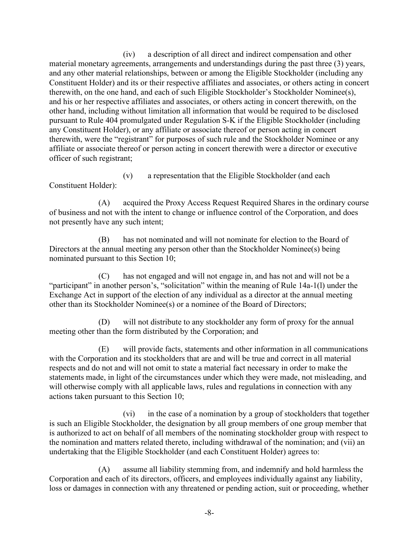(iv) a description of all direct and indirect compensation and other material monetary agreements, arrangements and understandings during the past three (3) years, and any other material relationships, between or among the Eligible Stockholder (including any Constituent Holder) and its or their respective affiliates and associates, or others acting in concert therewith, on the one hand, and each of such Eligible Stockholder's Stockholder Nominee(s), and his or her respective affiliates and associates, or others acting in concert therewith, on the other hand, including without limitation all information that would be required to be disclosed pursuant to Rule 404 promulgated under Regulation S-K if the Eligible Stockholder (including any Constituent Holder), or any affiliate or associate thereof or person acting in concert therewith, were the "registrant" for purposes of such rule and the Stockholder Nominee or any affiliate or associate thereof or person acting in concert therewith were a director or executive officer of such registrant;

(v) a representation that the Eligible Stockholder (and each Constituent Holder):

(A) acquired the Proxy Access Request Required Shares in the ordinary course of business and not with the intent to change or influence control of the Corporation, and does not presently have any such intent;

(B) has not nominated and will not nominate for election to the Board of Directors at the annual meeting any person other than the Stockholder Nominee(s) being nominated pursuant to this [Section](#page-3-0) 10;

(C) has not engaged and will not engage in, and has not and will not be a "participant" in another person's, "solicitation" within the meaning of Rule 14a-1(1) under the Exchange Act in support of the election of any individual as a director at the annual meeting other than its Stockholder Nominee(s) or a nominee of the Board of Directors;

(D) will not distribute to any stockholder any form of proxy for the annual meeting other than the form distributed by the Corporation; and

(E) will provide facts, statements and other information in all communications with the Corporation and its stockholders that are and will be true and correct in all material respects and do not and will not omit to state a material fact necessary in order to make the statements made, in light of the circumstances under which they were made, not misleading, and will otherwise comply with all applicable laws, rules and regulations in connection with any actions taken pursuant to this [Section](#page-3-0) 10;

(vi) in the case of a nomination by a group of stockholders that together is such an Eligible Stockholder, the designation by all group members of one group member that is authorized to act on behalf of all members of the nominating stockholder group with respect to the nomination and matters related thereto, including withdrawal of the nomination; and (vii) an undertaking that the Eligible Stockholder (and each Constituent Holder) agrees to:

(A) assume all liability stemming from, and indemnify and hold harmless the Corporation and each of its directors, officers, and employees individually against any liability, loss or damages in connection with any threatened or pending action, suit or proceeding, whether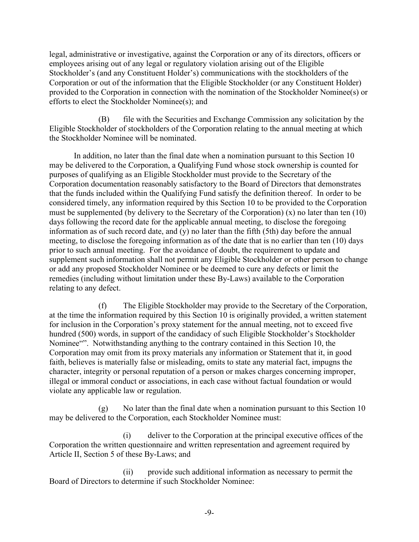legal, administrative or investigative, against the Corporation or any of its directors, officers or employees arising out of any legal or regulatory violation arising out of the Eligible Stockholder's (and any Constituent Holder's) communications with the stockholders of the Corporation or out of the information that the Eligible Stockholder (or any Constituent Holder) provided to the Corporation in connection with the nomination of the Stockholder Nominee(s) or efforts to elect the Stockholder Nominee(s); and

(B) file with the Securities and Exchange Commission any solicitation by the Eligible Stockholder of stockholders of the Corporation relating to the annual meeting at which the Stockholder Nominee will be nominated.

In addition, no later than the final date when a nomination pursuant to this [Section](#page-3-0) 10 may be delivered to the Corporation, a Qualifying Fund whose stock ownership is counted for purposes of qualifying as an Eligible Stockholder must provide to the Secretary of the Corporation documentation reasonably satisfactory to the Board of Directors that demonstrates that the funds included within the Qualifying Fund satisfy the definition thereof. In order to be considered timely, any information required by this [Section](#page-3-0) 10 to be provided to the Corporation must be supplemented (by delivery to the Secretary of the Corporation)  $(x)$  no later than ten (10) days following the record date for the applicable annual meeting, to disclose the foregoing information as of such record date, and (y) no later than the fifth (5th) day before the annual meeting, to disclose the foregoing information as of the date that is no earlier than ten (10) days prior to such annual meeting. For the avoidance of doubt, the requirement to update and supplement such information shall not permit any Eligible Stockholder or other person to change or add any proposed Stockholder Nominee or be deemed to cure any defects or limit the remedies (including without limitation under these By-Laws) available to the Corporation relating to any defect.

(f) The Eligible Stockholder may provide to the Secretary of the Corporation, at the time the information required by this [Section](#page-3-0) 10 is originally provided, a written statement for inclusion in the Corporation's proxy statement for the annual meeting, not to exceed five hundred (500) words, in support of the candidacy of such Eligible Stockholder's Stockholder Nominee"". Notwithstanding anything to the contrary contained in this [Section](#page-3-0) 10, the Corporation may omit from its proxy materials any information or Statement that it, in good faith, believes is materially false or misleading, omits to state any material fact, impugns the character, integrity or personal reputation of a person or makes charges concerning improper, illegal or immoral conduct or associations, in each case without factual foundation or would violate any applicable law or regulation.

 $(g)$  No later than the final date when a nomination pursuant to this [Section](#page-3-0) 10 may be delivered to the Corporation, each Stockholder Nominee must:

(i) deliver to the Corporation at the principal executive offices of the Corporation the written questionnaire and written representation and agreement required by [Article](#page-11-0) II, [Section](#page-15-0) 5 of these By-Laws; and

(ii) provide such additional information as necessary to permit the Board of Directors to determine if such Stockholder Nominee: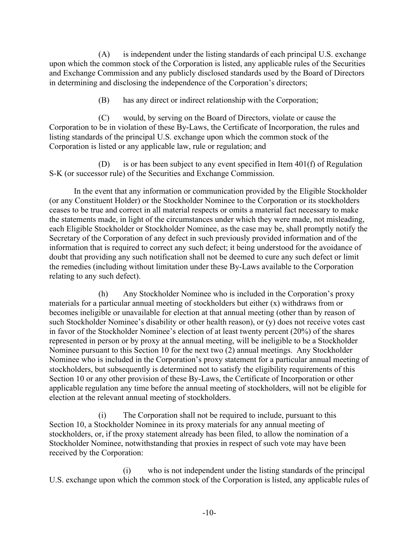(A) is independent under the listing standards of each principal U.S. exchange upon which the common stock of the Corporation is listed, any applicable rules of the Securities and Exchange Commission and any publicly disclosed standards used by the Board of Directors in determining and disclosing the independence of the Corporation's directors;

(B) has any direct or indirect relationship with the Corporation;

(C) would, by serving on the Board of Directors, violate or cause the Corporation to be in violation of these By-Laws, the Certificate of Incorporation, the rules and listing standards of the principal U.S. exchange upon which the common stock of the Corporation is listed or any applicable law, rule or regulation; and

(D) is or has been subject to any event specified in Item 401(f) of Regulation S-K (or successor rule) of the Securities and Exchange Commission.

In the event that any information or communication provided by the Eligible Stockholder (or any Constituent Holder) or the Stockholder Nominee to the Corporation or its stockholders ceases to be true and correct in all material respects or omits a material fact necessary to make the statements made, in light of the circumstances under which they were made, not misleading, each Eligible Stockholder or Stockholder Nominee, as the case may be, shall promptly notify the Secretary of the Corporation of any defect in such previously provided information and of the information that is required to correct any such defect; it being understood for the avoidance of doubt that providing any such notification shall not be deemed to cure any such defect or limit the remedies (including without limitation under these By-Laws available to the Corporation relating to any such defect).

(h) Any Stockholder Nominee who is included in the Corporation's proxy materials for a particular annual meeting of stockholders but either (x) withdraws from or becomes ineligible or unavailable for election at that annual meeting (other than by reason of such Stockholder Nominee's disability or other health reason), or (y) does not receive votes cast in favor of the Stockholder Nominee's election of at least twenty percent (20%) of the shares represented in person or by proxy at the annual meeting, will be ineligible to be a Stockholder Nominee pursuant to this [Section](#page-3-0) 10 for the next two (2) annual meetings. Any Stockholder Nominee who is included in the Corporation's proxy statement for a particular annual meeting of stockholders, but subsequently is determined not to satisfy the eligibility requirements of this [Section](#page-3-0) 10 or any other provision of these By-Laws, the Certificate of Incorporation or other applicable regulation any time before the annual meeting of stockholders, will not be eligible for election at the relevant annual meeting of stockholders.

(i) The Corporation shall not be required to include, pursuant to this [Section](#page-3-0) 10, a Stockholder Nominee in its proxy materials for any annual meeting of stockholders, or, if the proxy statement already has been filed, to allow the nomination of a Stockholder Nominee, notwithstanding that proxies in respect of such vote may have been received by the Corporation:

(i) who is not independent under the listing standards of the principal U.S. exchange upon which the common stock of the Corporation is listed, any applicable rules of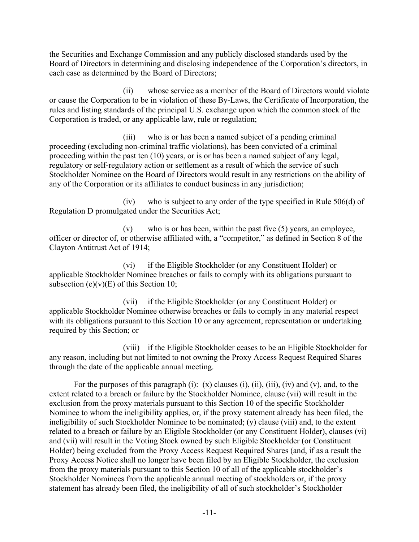the Securities and Exchange Commission and any publicly disclosed standards used by the Board of Directors in determining and disclosing independence of the Corporation's directors, in each case as determined by the Board of Directors;

(ii) whose service as a member of the Board of Directors would violate or cause the Corporation to be in violation of these By-Laws, the Certificate of Incorporation, the rules and listing standards of the principal U.S. exchange upon which the common stock of the Corporation is traded, or any applicable law, rule or regulation;

(iii) who is or has been a named subject of a pending criminal proceeding (excluding non-criminal traffic violations), has been convicted of a criminal proceeding within the past ten (10) years, or is or has been a named subject of any legal, regulatory or self-regulatory action or settlement as a result of which the service of such Stockholder Nominee on the Board of Directors would result in any restrictions on the ability of any of the Corporation or its affiliates to conduct business in any jurisdiction;

(iv) who is subject to any order of the type specified in Rule 506(d) of Regulation D promulgated under the Securities Act;

 $(v)$  who is or has been, within the past five  $(5)$  years, an employee, officer or director of, or otherwise affiliated with, a "competitor," as defined in Section 8 of the Clayton Antitrust Act of 1914;

(vi) if the Eligible Stockholder (or any Constituent Holder) or applicable Stockholder Nominee breaches or fails to comply with its obligations pursuant to subsection (e)(v)(E) of this [Section](#page-3-0) 10;

(vii) if the Eligible Stockholder (or any Constituent Holder) or applicable Stockholder Nominee otherwise breaches or fails to comply in any material respect with its obligations pursuant to this [Section](#page-3-0) 10 or any agreement, representation or undertaking required by this Section; or

(viii) if the Eligible Stockholder ceases to be an Eligible Stockholder for any reason, including but not limited to not owning the Proxy Access Request Required Shares through the date of the applicable annual meeting.

For the purposes of this paragraph (i): (x) clauses (i), (ii), (iii), (iv) and (v), and, to the extent related to a breach or failure by the Stockholder Nominee, clause (vii) will result in the exclusion from the proxy materials pursuant to this [Section](#page-3-0) 10 of the specific Stockholder Nominee to whom the ineligibility applies, or, if the proxy statement already has been filed, the ineligibility of such Stockholder Nominee to be nominated; (y) clause (viii) and, to the extent related to a breach or failure by an Eligible Stockholder (or any Constituent Holder), clauses (vi) and (vii) will result in the Voting Stock owned by such Eligible Stockholder (or Constituent Holder) being excluded from the Proxy Access Request Required Shares (and, if as a result the Proxy Access Notice shall no longer have been filed by an Eligible Stockholder, the exclusion from the proxy materials pursuant to this [Section](#page-3-0) 10 of all of the applicable stockholder's Stockholder Nominees from the applicable annual meeting of stockholders or, if the proxy statement has already been filed, the ineligibility of all of such stockholder's Stockholder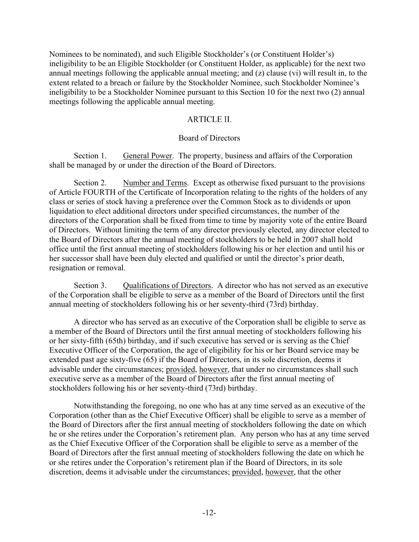Nominees to be nominated), and such Eligible Stockholder's (or Constituent Holder's) ineligibility to be an Eligible Stockholder (or Constituent Holder, as applicable) for the next two annual meetings following the applicable annual meeting; and (z) clause (vi) will result in, to the extent related to a breach or failure by the Stockholder Nominee, such Stockholder Nominee's ineligibility to be a Stockholder Nominee pursuant to this [Section](#page-3-0) 10 for the next two (2) annual meetings following the applicable annual meeting.

#### **ARTICLE II.**

#### Board of Directors

<span id="page-11-0"></span>Section 1. General Power. The property, business and affairs of the Corporation shall be managed by or under the direction of the Board of Directors.

Section 2. Number and Terms. Except as otherwise fixed pursuant to the provisions of Article FOURTH of the Certificate of Incorporation relating to the rights of the holders of any class or series of stock having a preference over the Common Stock as to dividends or upon liquidation to elect additional directors under specified circumstances, the number of the directors of the Corporation shall be fixed from time to time by majority vote of the entire Board of Directors. Without limiting the term of any director previously elected, any director elected to the Board of Directors after the annual meeting of stockholders to be held in 2007 shall hold office until the first annual meeting of stockholders following his or her election and until his or her successor shall have been duly elected and qualified or until the director's prior death, resignation or removal.

<span id="page-11-1"></span>Section 3. Qualifications of Directors. A director who has not served as an executive of the Corporation shall be eligible to serve as a member of the Board of Directors until the first annual meeting of stockholders following his or her seventy-third (73rd) birthday.

A director who has served as an executive of the Corporation shall be eligible to serve as a member of the Board of Directors until the first annual meeting of stockholders following his or her sixty-fifth (65th) birthday, and if such executive has served or is serving as the Chief Executive Officer of the Corporation, the age of eligibility for his or her Board service may be extended past age sixty-five (65) if the Board of Directors, in its sole discretion, deems it advisable under the circumstances; provided, however, that under no circumstances shall such executive serve as a member of the Board of Directors after the first annual meeting of stockholders following his or her seventy-third (73rd) birthday.

Notwithstanding the foregoing, no one who has at any time served as an executive of the Corporation (other than as the Chief Executive Officer) shall be eligible to serve as a member of the Board of Directors after the first annual meeting of stockholders following the date on which he or she retires under the Corporation's retirement plan. Any person who has at any time served as the Chief Executive Officer of the Corporation shall be eligible to serve as a member of the Board of Directors after the first annual meeting of stockholders following the date on which he or she retires under the Corporation's retirement plan if the Board of Directors, in its sole discretion, deems it advisable under the circumstances; provided, however, that the other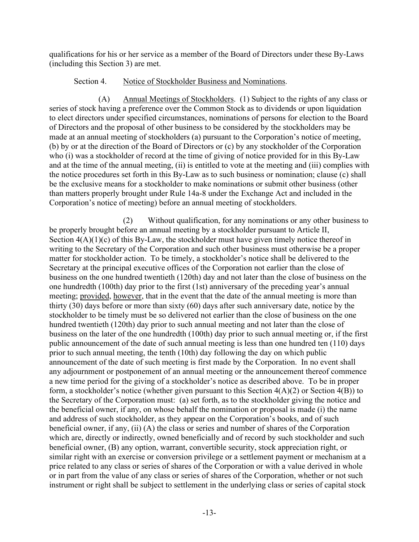qualifications for his or her service as a member of the Board of Directors under these By-Laws (including this [Section](#page-11-1) 3) are met.

#### Section 4. Notice of Stockholder Business and Nominations.

<span id="page-12-0"></span>(A) Annual Meetings of Stockholders. (1) Subject to the rights of any class or series of stock having a preference over the Common Stock as to dividends or upon liquidation to elect directors under specified circumstances, nominations of persons for election to the Board of Directors and the proposal of other business to be considered by the stockholders may be made at an annual meeting of stockholders (a) pursuant to the Corporation's notice of meeting, (b) by or at the direction of the Board of Directors or (c) by any stockholder of the Corporation who (i) was a stockholder of record at the time of giving of notice provided for in this By-Law and at the time of the annual meeting, (ii) is entitled to vote at the meeting and (iii) complies with the notice procedures set forth in this By-Law as to such business or nomination; clause (c) shall be the exclusive means for a stockholder to make nominations or submit other business (other than matters properly brought under Rule 14a-8 under the Exchange Act and included in the Corporation's notice of meeting) before an annual meeting of stockholders.

(2) Without qualification, for any nominations or any other business to be properly brought before an annual meeting by a stockholder pursuant to [Article](#page-11-0) II, Section  $4(A)(1)(c)$  of this By-Law, the stockholder must have given timely notice thereof in writing to the Secretary of the Corporation and such other business must otherwise be a proper matter for stockholder action. To be timely, a stockholder's notice shall be delivered to the Secretary at the principal executive offices of the Corporation not earlier than the close of business on the one hundred twentieth (120th) day and not later than the close of business on the one hundredth (100th) day prior to the first (1st) anniversary of the preceding year's annual meeting; provided, however, that in the event that the date of the annual meeting is more than thirty (30) days before or more than sixty (60) days after such anniversary date, notice by the stockholder to be timely must be so delivered not earlier than the close of business on the one hundred twentieth (120th) day prior to such annual meeting and not later than the close of business on the later of the one hundredth (100th) day prior to such annual meeting or, if the first public announcement of the date of such annual meeting is less than one hundred ten (110) days prior to such annual meeting, the tenth (10th) day following the day on which public announcement of the date of such meeting is first made by the Corporation. In no event shall any adjournment or postponement of an annual meeting or the announcement thereof commence a new time period for the giving of a stockholder's notice as described above. To be in proper form, a stockholder's notice (whether given pursuant to this Section 4(A)(2) or Section 4(B)) to the Secretary of the Corporation must: (a) set forth, as to the stockholder giving the notice and the beneficial owner, if any, on whose behalf the nomination or proposal is made (i) the name and address of such stockholder, as they appear on the Corporation's books, and of such beneficial owner, if any, (ii) (A) the class or series and number of shares of the Corporation which are, directly or indirectly, owned beneficially and of record by such stockholder and such beneficial owner, (B) any option, warrant, convertible security, stock appreciation right, or similar right with an exercise or conversion privilege or a settlement payment or mechanism at a price related to any class or series of shares of the Corporation or with a value derived in whole or in part from the value of any class or series of shares of the Corporation, whether or not such instrument or right shall be subject to settlement in the underlying class or series of capital stock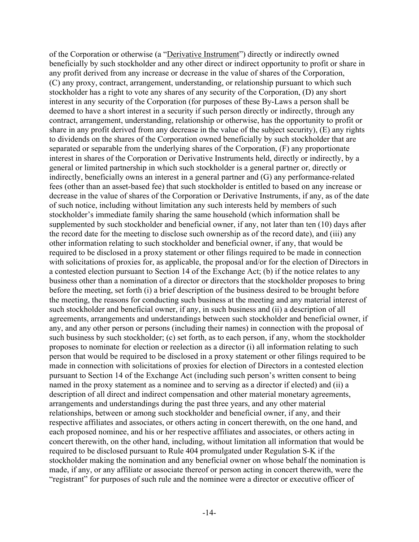of the Corporation or otherwise (a "Derivative Instrument") directly or indirectly owned beneficially by such stockholder and any other direct or indirect opportunity to profit or share in any profit derived from any increase or decrease in the value of shares of the Corporation, (C) any proxy, contract, arrangement, understanding, or relationship pursuant to which such stockholder has a right to vote any shares of any security of the Corporation, (D) any short interest in any security of the Corporation (for purposes of these By-Laws a person shall be deemed to have a short interest in a security if such person directly or indirectly, through any contract, arrangement, understanding, relationship or otherwise, has the opportunity to profit or share in any profit derived from any decrease in the value of the subject security), (E) any rights to dividends on the shares of the Corporation owned beneficially by such stockholder that are separated or separable from the underlying shares of the Corporation, (F) any proportionate interest in shares of the Corporation or Derivative Instruments held, directly or indirectly, by a general or limited partnership in which such stockholder is a general partner or, directly or indirectly, beneficially owns an interest in a general partner and (G) any performance-related fees (other than an asset-based fee) that such stockholder is entitled to based on any increase or decrease in the value of shares of the Corporation or Derivative Instruments, if any, as of the date of such notice, including without limitation any such interests held by members of such stockholder's immediate family sharing the same household (which information shall be supplemented by such stockholder and beneficial owner, if any, not later than ten (10) days after the record date for the meeting to disclose such ownership as of the record date), and (iii) any other information relating to such stockholder and beneficial owner, if any, that would be required to be disclosed in a proxy statement or other filings required to be made in connection with solicitations of proxies for, as applicable, the proposal and/or for the election of Directors in a contested election pursuant to Section 14 of the Exchange Act; (b) if the notice relates to any business other than a nomination of a director or directors that the stockholder proposes to bring before the meeting, set forth (i) a brief description of the business desired to be brought before the meeting, the reasons for conducting such business at the meeting and any material interest of such stockholder and beneficial owner, if any, in such business and (ii) a description of all agreements, arrangements and understandings between such stockholder and beneficial owner, if any, and any other person or persons (including their names) in connection with the proposal of such business by such stockholder; (c) set forth, as to each person, if any, whom the stockholder proposes to nominate for election or reelection as a director (i) all information relating to such person that would be required to be disclosed in a proxy statement or other filings required to be made in connection with solicitations of proxies for election of Directors in a contested election pursuant to Section 14 of the Exchange Act (including such person's written consent to being named in the proxy statement as a nominee and to serving as a director if elected) and (ii) a description of all direct and indirect compensation and other material monetary agreements, arrangements and understandings during the past three years, and any other material relationships, between or among such stockholder and beneficial owner, if any, and their respective affiliates and associates, or others acting in concert therewith, on the one hand, and each proposed nominee, and his or her respective affiliates and associates, or others acting in concert therewith, on the other hand, including, without limitation all information that would be required to be disclosed pursuant to Rule 404 promulgated under Regulation S-K if the stockholder making the nomination and any beneficial owner on whose behalf the nomination is made, if any, or any affiliate or associate thereof or person acting in concert therewith, were the "registrant" for purposes of such rule and the nominee were a director or executive officer of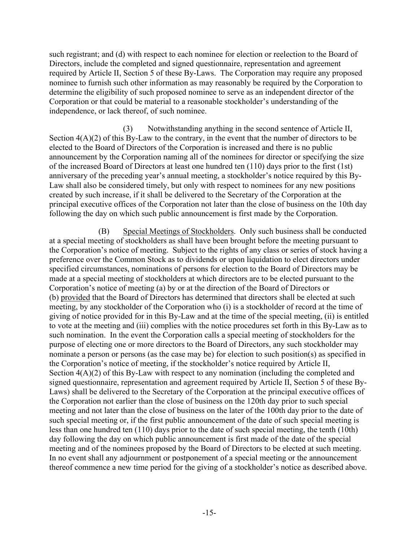such registrant; and (d) with respect to each nominee for election or reelection to the Board of Directors, include the completed and signed questionnaire, representation and agreement required by [Article](#page-11-0) II, [Section](#page-15-0) 5 of these By-Laws. The Corporation may require any proposed nominee to furnish such other information as may reasonably be required by the Corporation to determine the eligibility of such proposed nominee to serve as an independent director of the Corporation or that could be material to a reasonable stockholder's understanding of the independence, or lack thereof, of such nominee.

(3) Notwithstanding anything in the second sentence of [Article](#page-11-0) II, Section  $4(A)(2)$  of this By-Law to the contrary, in the event that the number of directors to be elected to the Board of Directors of the Corporation is increased and there is no public announcement by the Corporation naming all of the nominees for director or specifying the size of the increased Board of Directors at least one hundred ten (110) days prior to the first (1st) anniversary of the preceding year's annual meeting, a stockholder's notice required by this By-Law shall also be considered timely, but only with respect to nominees for any new positions created by such increase, if it shall be delivered to the Secretary of the Corporation at the principal executive offices of the Corporation not later than the close of business on the 10th day following the day on which such public announcement is first made by the Corporation.

(B) Special Meetings of Stockholders. Only such business shall be conducted at a special meeting of stockholders as shall have been brought before the meeting pursuant to the Corporation's notice of meeting. Subject to the rights of any class or series of stock having a preference over the Common Stock as to dividends or upon liquidation to elect directors under specified circumstances, nominations of persons for election to the Board of Directors may be made at a special meeting of stockholders at which directors are to be elected pursuant to the Corporation's notice of meeting (a) by or at the direction of the Board of Directors or (b) provided that the Board of Directors has determined that directors shall be elected at such meeting, by any stockholder of the Corporation who (i) is a stockholder of record at the time of giving of notice provided for in this By-Law and at the time of the special meeting, (ii) is entitled to vote at the meeting and (iii) complies with the notice procedures set forth in this By-Law as to such nomination. In the event the Corporation calls a special meeting of stockholders for the purpose of electing one or more directors to the Board of Directors, any such stockholder may nominate a person or persons (as the case may be) for election to such position(s) as specified in the Corporation's notice of meeting, if the stockholder's notice required by [Article](#page-11-0) II, Section  $4(A)(2)$  of this By-Law with respect to any nomination (including the completed and signed questionnaire, representation and agreement required by [Article](#page-11-0) II, [Section](#page-15-0) 5 of these By-Laws) shall be delivered to the Secretary of the Corporation at the principal executive offices of the Corporation not earlier than the close of business on the 120th day prior to such special meeting and not later than the close of business on the later of the 100th day prior to the date of such special meeting or, if the first public announcement of the date of such special meeting is less than one hundred ten (110) days prior to the date of such special meeting, the tenth (10th) day following the day on which public announcement is first made of the date of the special meeting and of the nominees proposed by the Board of Directors to be elected at such meeting. In no event shall any adjournment or postponement of a special meeting or the announcement thereof commence a new time period for the giving of a stockholder's notice as described above.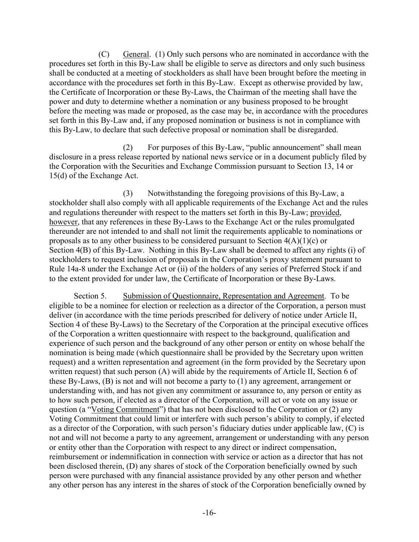(C) General. (1) Only such persons who are nominated in accordance with the procedures set forth in this By-Law shall be eligible to serve as directors and only such business shall be conducted at a meeting of stockholders as shall have been brought before the meeting in accordance with the procedures set forth in this By-Law. Except as otherwise provided by law, the Certificate of Incorporation or these By-Laws, the Chairman of the meeting shall have the power and duty to determine whether a nomination or any business proposed to be brought before the meeting was made or proposed, as the case may be, in accordance with the procedures set forth in this By-Law and, if any proposed nomination or business is not in compliance with this By-Law, to declare that such defective proposal or nomination shall be disregarded.

(2) For purposes of this By-Law, "public announcement" shall mean disclosure in a press release reported by national news service or in a document publicly filed by the Corporation with the Securities and Exchange Commission pursuant to Section 13, 14 or 15(d) of the Exchange Act.

(3) Notwithstanding the foregoing provisions of this By-Law, a stockholder shall also comply with all applicable requirements of the Exchange Act and the rules and regulations thereunder with respect to the matters set forth in this By-Law; provided, however, that any references in these By-Laws to the Exchange Act or the rules promulgated thereunder are not intended to and shall not limit the requirements applicable to nominations or proposals as to any other business to be considered pursuant to Section  $4(A)(1)(c)$  or Section 4(B) of this By-Law. Nothing in this By-Law shall be deemed to affect any rights (i) of stockholders to request inclusion of proposals in the Corporation's proxy statement pursuant to Rule 14a-8 under the Exchange Act or (ii) of the holders of any series of Preferred Stock if and to the extent provided for under law, the Certificate of Incorporation or these By-Laws.

<span id="page-15-0"></span>Section 5. Submission of Questionnaire, Representation and Agreement. To be eligible to be a nominee for election or reelection as a director of the Corporation, a person must deliver (in accordance with the time periods prescribed for delivery of notice under [Article](#page-11-0) II, [Section](#page-12-0) 4 of these By-Laws) to the Secretary of the Corporation at the principal executive offices of the Corporation a written questionnaire with respect to the background, qualification and experience of such person and the background of any other person or entity on whose behalf the nomination is being made (which questionnaire shall be provided by the Secretary upon written request) and a written representation and agreement (in the form provided by the Secretary upon written request) that such person (A) will abide by the requirements of [Article](#page-11-0) II, [Section](#page-16-0) 6 of these By-Laws, (B) is not and will not become a party to (1) any agreement, arrangement or understanding with, and has not given any commitment or assurance to, any person or entity as to how such person, if elected as a director of the Corporation, will act or vote on any issue or question (a "Voting Commitment") that has not been disclosed to the Corporation or (2) any Voting Commitment that could limit or interfere with such person's ability to comply, if elected as a director of the Corporation, with such person's fiduciary duties under applicable law, (C) is not and will not become a party to any agreement, arrangement or understanding with any person or entity other than the Corporation with respect to any direct or indirect compensation, reimbursement or indemnification in connection with service or action as a director that has not been disclosed therein, (D) any shares of stock of the Corporation beneficially owned by such person were purchased with any financial assistance provided by any other person and whether any other person has any interest in the shares of stock of the Corporation beneficially owned by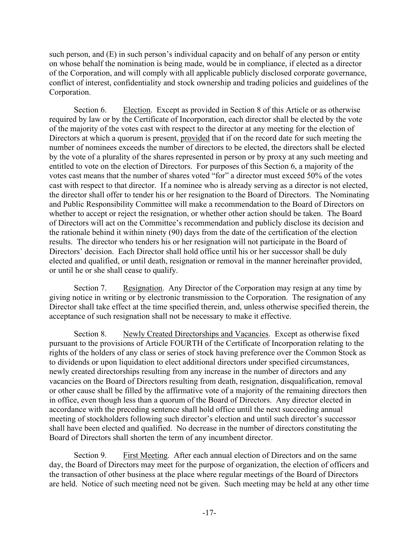such person, and (E) in such person's individual capacity and on behalf of any person or entity on whose behalf the nomination is being made, would be in compliance, if elected as a director of the Corporation, and will comply with all applicable publicly disclosed corporate governance, conflict of interest, confidentiality and stock ownership and trading policies and guidelines of the Corporation.

<span id="page-16-0"></span>Section 6. Election. Except as provided in [Section](#page-16-1) 8 of this Article or as otherwise required by law or by the Certificate of Incorporation, each director shall be elected by the vote of the majority of the votes cast with respect to the director at any meeting for the election of Directors at which a quorum is present, provided that if on the record date for such meeting the number of nominees exceeds the number of directors to be elected, the directors shall be elected by the vote of a plurality of the shares represented in person or by proxy at any such meeting and entitled to vote on the election of Directors. For purposes of this [Section](#page-16-0) 6, a majority of the votes cast means that the number of shares voted "for" a director must exceed 50% of the votes cast with respect to that director. If a nominee who is already serving as a director is not elected, the director shall offer to tender his or her resignation to the Board of Directors. The Nominating and Public Responsibility Committee will make a recommendation to the Board of Directors on whether to accept or reject the resignation, or whether other action should be taken. The Board of Directors will act on the Committee's recommendation and publicly disclose its decision and the rationale behind it within ninety (90) days from the date of the certification of the election results. The director who tenders his or her resignation will not participate in the Board of Directors' decision. Each Director shall hold office until his or her successor shall be duly elected and qualified, or until death, resignation or removal in the manner hereinafter provided, or until he or she shall cease to qualify.

Section 7. Resignation. Any Director of the Corporation may resign at any time by giving notice in writing or by electronic transmission to the Corporation. The resignation of any Director shall take effect at the time specified therein, and, unless otherwise specified therein, the acceptance of such resignation shall not be necessary to make it effective.

<span id="page-16-1"></span>Section 8. Newly Created Directorships and Vacancies. Except as otherwise fixed pursuant to the provisions of Article FOURTH of the Certificate of Incorporation relating to the rights of the holders of any class or series of stock having preference over the Common Stock as to dividends or upon liquidation to elect additional directors under specified circumstances, newly created directorships resulting from any increase in the number of directors and any vacancies on the Board of Directors resulting from death, resignation, disqualification, removal or other cause shall be filled by the affirmative vote of a majority of the remaining directors then in office, even though less than a quorum of the Board of Directors. Any director elected in accordance with the preceding sentence shall hold office until the next succeeding annual meeting of stockholders following such director's election and until such director's successor shall have been elected and qualified. No decrease in the number of directors constituting the Board of Directors shall shorten the term of any incumbent director.

Section 9. First Meeting. After each annual election of Directors and on the same day, the Board of Directors may meet for the purpose of organization, the election of officers and the transaction of other business at the place where regular meetings of the Board of Directors are held. Notice of such meeting need not be given. Such meeting may be held at any other time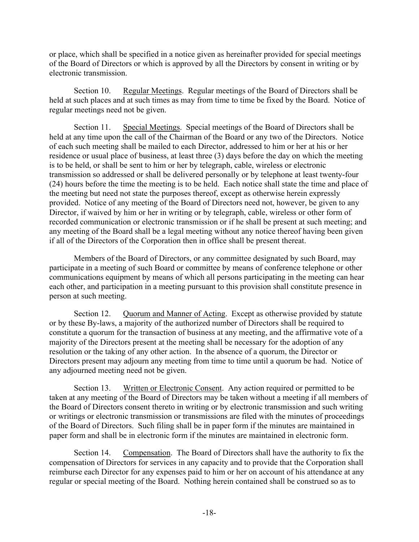or place, which shall be specified in a notice given as hereinafter provided for special meetings of the Board of Directors or which is approved by all the Directors by consent in writing or by electronic transmission.

Section 10. Regular Meetings. Regular meetings of the Board of Directors shall be held at such places and at such times as may from time to time be fixed by the Board. Notice of regular meetings need not be given.

Section 11. Special Meetings. Special meetings of the Board of Directors shall be held at any time upon the call of the Chairman of the Board or any two of the Directors. Notice of each such meeting shall be mailed to each Director, addressed to him or her at his or her residence or usual place of business, at least three (3) days before the day on which the meeting is to be held, or shall be sent to him or her by telegraph, cable, wireless or electronic transmission so addressed or shall be delivered personally or by telephone at least twenty-four (24) hours before the time the meeting is to be held. Each notice shall state the time and place of the meeting but need not state the purposes thereof, except as otherwise herein expressly provided. Notice of any meeting of the Board of Directors need not, however, be given to any Director, if waived by him or her in writing or by telegraph, cable, wireless or other form of recorded communication or electronic transmission or if he shall be present at such meeting; and any meeting of the Board shall be a legal meeting without any notice thereof having been given if all of the Directors of the Corporation then in office shall be present thereat.

Members of the Board of Directors, or any committee designated by such Board, may participate in a meeting of such Board or committee by means of conference telephone or other communications equipment by means of which all persons participating in the meeting can hear each other, and participation in a meeting pursuant to this provision shall constitute presence in person at such meeting.

Section 12. Quorum and Manner of Acting. Except as otherwise provided by statute or by these By-laws, a majority of the authorized number of Directors shall be required to constitute a quorum for the transaction of business at any meeting, and the affirmative vote of a majority of the Directors present at the meeting shall be necessary for the adoption of any resolution or the taking of any other action. In the absence of a quorum, the Director or Directors present may adjourn any meeting from time to time until a quorum be had. Notice of any adjourned meeting need not be given.

Section 13. Written or Electronic Consent. Any action required or permitted to be taken at any meeting of the Board of Directors may be taken without a meeting if all members of the Board of Directors consent thereto in writing or by electronic transmission and such writing or writings or electronic transmission or transmissions are filed with the minutes of proceedings of the Board of Directors. Such filing shall be in paper form if the minutes are maintained in paper form and shall be in electronic form if the minutes are maintained in electronic form.

Section 14. Compensation. The Board of Directors shall have the authority to fix the compensation of Directors for services in any capacity and to provide that the Corporation shall reimburse each Director for any expenses paid to him or her on account of his attendance at any regular or special meeting of the Board. Nothing herein contained shall be construed so as to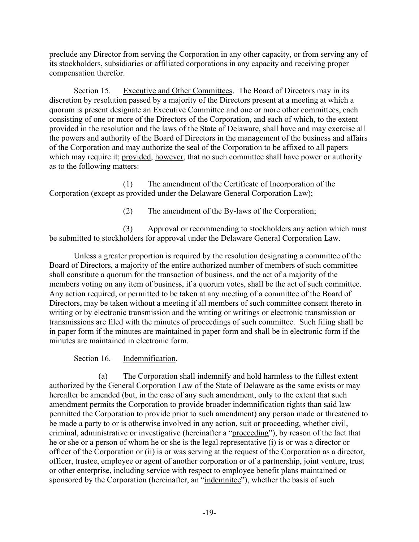preclude any Director from serving the Corporation in any other capacity, or from serving any of its stockholders, subsidiaries or affiliated corporations in any capacity and receiving proper compensation therefor.

Section 15. Executive and Other Committees. The Board of Directors may in its discretion by resolution passed by a majority of the Directors present at a meeting at which a quorum is present designate an Executive Committee and one or more other committees, each consisting of one or more of the Directors of the Corporation, and each of which, to the extent provided in the resolution and the laws of the State of Delaware, shall have and may exercise all the powers and authority of the Board of Directors in the management of the business and affairs of the Corporation and may authorize the seal of the Corporation to be affixed to all papers which may require it; provided, however, that no such committee shall have power or authority as to the following matters:

(1) The amendment of the Certificate of Incorporation of the Corporation (except as provided under the Delaware General Corporation Law);

(2) The amendment of the By-laws of the Corporation;

(3) Approval or recommending to stockholders any action which must be submitted to stockholders for approval under the Delaware General Corporation Law.

Unless a greater proportion is required by the resolution designating a committee of the Board of Directors, a majority of the entire authorized number of members of such committee shall constitute a quorum for the transaction of business, and the act of a majority of the members voting on any item of business, if a quorum votes, shall be the act of such committee. Any action required, or permitted to be taken at any meeting of a committee of the Board of Directors, may be taken without a meeting if all members of such committee consent thereto in writing or by electronic transmission and the writing or writings or electronic transmission or transmissions are filed with the minutes of proceedings of such committee. Such filing shall be in paper form if the minutes are maintained in paper form and shall be in electronic form if the minutes are maintained in electronic form.

Section 16. Indemnification.

<span id="page-18-0"></span>(a) The Corporation shall indemnify and hold harmless to the fullest extent authorized by the General Corporation Law of the State of Delaware as the same exists or may hereafter be amended (but, in the case of any such amendment, only to the extent that such amendment permits the Corporation to provide broader indemnification rights than said law permitted the Corporation to provide prior to such amendment) any person made or threatened to be made a party to or is otherwise involved in any action, suit or proceeding, whether civil, criminal, administrative or investigative (hereinafter a "proceeding"), by reason of the fact that he or she or a person of whom he or she is the legal representative (i) is or was a director or officer of the Corporation or (ii) is or was serving at the request of the Corporation as a director, officer, trustee, employee or agent of another corporation or of a partnership, joint venture, trust or other enterprise, including service with respect to employee benefit plans maintained or sponsored by the Corporation (hereinafter, an "indemnitee"), whether the basis of such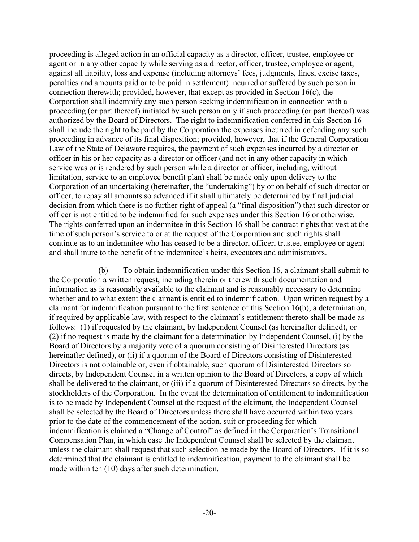proceeding is alleged action in an official capacity as a director, officer, trustee, employee or agent or in any other capacity while serving as a director, officer, trustee, employee or agent, against all liability, loss and expense (including attorneys' fees, judgments, fines, excise taxes, penalties and amounts paid or to be paid in settlement) incurred or suffered by such person in connection therewith; provided, however, that except as provided in Section 16(c), the Corporation shall indemnify any such person seeking indemnification in connection with a proceeding (or part thereof) initiated by such person only if such proceeding (or part thereof) was authorized by the Board of Directors. The right to indemnification conferred in this [Section](#page-18-0) 16 shall include the right to be paid by the Corporation the expenses incurred in defending any such proceeding in advance of its final disposition; provided, however, that if the General Corporation Law of the State of Delaware requires, the payment of such expenses incurred by a director or officer in his or her capacity as a director or officer (and not in any other capacity in which service was or is rendered by such person while a director or officer, including, without limitation, service to an employee benefit plan) shall be made only upon delivery to the Corporation of an undertaking (hereinafter, the "undertaking") by or on behalf of such director or officer, to repay all amounts so advanced if it shall ultimately be determined by final judicial decision from which there is no further right of appeal (a "final disposition") that such director or officer is not entitled to be indemnified for such expenses under this [Section](#page-18-0) 16 or otherwise. The rights conferred upon an indemnitee in this [Section](#page-18-0) 16 shall be contract rights that vest at the time of such person's service to or at the request of the Corporation and such rights shall continue as to an indemnitee who has ceased to be a director, officer, trustee, employee or agent and shall inure to the benefit of the indemnitee's heirs, executors and administrators.

(b) To obtain indemnification under this [Section](#page-18-0) 16, a claimant shall submit to the Corporation a written request, including therein or therewith such documentation and information as is reasonably available to the claimant and is reasonably necessary to determine whether and to what extent the claimant is entitled to indemnification. Upon written request by a claimant for indemnification pursuant to the first sentence of this [Section](#page-18-0) 16(b), a determination, if required by applicable law, with respect to the claimant's entitlement thereto shall be made as follows: (1) if requested by the claimant, by Independent Counsel (as hereinafter defined), or (2) if no request is made by the claimant for a determination by Independent Counsel, (i) by the Board of Directors by a majority vote of a quorum consisting of Disinterested Directors (as hereinafter defined), or (ii) if a quorum of the Board of Directors consisting of Disinterested Directors is not obtainable or, even if obtainable, such quorum of Disinterested Directors so directs, by Independent Counsel in a written opinion to the Board of Directors, a copy of which shall be delivered to the claimant, or (iii) if a quorum of Disinterested Directors so directs, by the stockholders of the Corporation. In the event the determination of entitlement to indemnification is to be made by Independent Counsel at the request of the claimant, the Independent Counsel shall be selected by the Board of Directors unless there shall have occurred within two years prior to the date of the commencement of the action, suit or proceeding for which indemnification is claimed a "Change of Control" as defined in the Corporation's Transitional Compensation Plan, in which case the Independent Counsel shall be selected by the claimant unless the claimant shall request that such selection be made by the Board of Directors. If it is so determined that the claimant is entitled to indemnification, payment to the claimant shall be made within ten (10) days after such determination.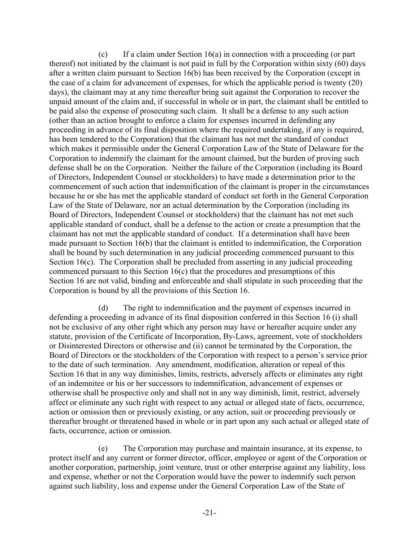(c) If a claim under [Section](#page-18-0) 16(a) in connection with a proceeding (or part thereof) not initiated by the claimant is not paid in full by the Corporation within sixty (60) days after a written claim pursuant to [Section](#page-18-0) 16(b) has been received by the Corporation (except in the case of a claim for advancement of expenses, for which the applicable period is twenty (20) days), the claimant may at any time thereafter bring suit against the Corporation to recover the unpaid amount of the claim and, if successful in whole or in part, the claimant shall be entitled to be paid also the expense of prosecuting such claim. It shall be a defense to any such action (other than an action brought to enforce a claim for expenses incurred in defending any proceeding in advance of its final disposition where the required undertaking, if any is required, has been tendered to the Corporation) that the claimant has not met the standard of conduct which makes it permissible under the General Corporation Law of the State of Delaware for the Corporation to indemnify the claimant for the amount claimed, but the burden of proving such defense shall be on the Corporation. Neither the failure of the Corporation (including its Board of Directors, Independent Counsel or stockholders) to have made a determination prior to the commencement of such action that indemnification of the claimant is proper in the circumstances because he or she has met the applicable standard of conduct set forth in the General Corporation Law of the State of Delaware, nor an actual determination by the Corporation (including its Board of Directors, Independent Counsel or stockholders) that the claimant has not met such applicable standard of conduct, shall be a defense to the action or create a presumption that the claimant has not met the applicable standard of conduct. If a determination shall have been made pursuant to [Section](#page-18-0) 16(b) that the claimant is entitled to indemnification, the Corporation shall be bound by such determination in any judicial proceeding commenced pursuant to this [Section](#page-18-0) 16(c). The Corporation shall be precluded from asserting in any judicial proceeding commenced pursuant to this [Section](#page-18-0) 16(c) that the procedures and presumptions of this [Section](#page-18-0) 16 are not valid, binding and enforceable and shall stipulate in such proceeding that the Corporation is bound by all the provisions of this [Section](#page-18-0) 16.

(d) The right to indemnification and the payment of expenses incurred in defending a proceeding in advance of its final disposition conferred in this [Section](#page-18-0) 16 (i) shall not be exclusive of any other right which any person may have or hereafter acquire under any statute, provision of the Certificate of Incorporation, By-Laws, agreement, vote of stockholders or Disinterested Directors or otherwise and (ii) cannot be terminated by the Corporation, the Board of Directors or the stockholders of the Corporation with respect to a person's service prior to the date of such termination. Any amendment, modification, alteration or repeal of this [Section](#page-18-0) 16 that in any way diminishes, limits, restricts, adversely affects or eliminates any right of an indemnitee or his or her successors to indemnification, advancement of expenses or otherwise shall be prospective only and shall not in any way diminish, limit, restrict, adversely affect or eliminate any such right with respect to any actual or alleged state of facts, occurrence, action or omission then or previously existing, or any action, suit or proceeding previously or thereafter brought or threatened based in whole or in part upon any such actual or alleged state of facts, occurrence, action or omission.

(e) The Corporation may purchase and maintain insurance, at its expense, to protect itself and any current or former director, officer, employee or agent of the Corporation or another corporation, partnership, joint venture, trust or other enterprise against any liability, loss and expense, whether or not the Corporation would have the power to indemnify such person against such liability, loss and expense under the General Corporation Law of the State of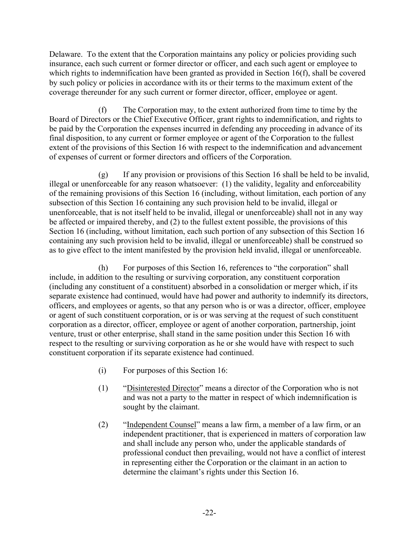Delaware. To the extent that the Corporation maintains any policy or policies providing such insurance, each such current or former director or officer, and each such agent or employee to which rights to indemnification have been granted as provided in [Section](#page-18-0) 16(f), shall be covered by such policy or policies in accordance with its or their terms to the maximum extent of the coverage thereunder for any such current or former director, officer, employee or agent.

(f) The Corporation may, to the extent authorized from time to time by the Board of Directors or the Chief Executive Officer, grant rights to indemnification, and rights to be paid by the Corporation the expenses incurred in defending any proceeding in advance of its final disposition, to any current or former employee or agent of the Corporation to the fullest extent of the provisions of this [Section](#page-18-0) 16 with respect to the indemnification and advancement of expenses of current or former directors and officers of the Corporation.

(g) If any provision or provisions of this [Section](#page-18-0) 16 shall be held to be invalid, illegal or unenforceable for any reason whatsoever: (1) the validity, legality and enforceability of the remaining provisions of this [Section](#page-18-0) 16 (including, without limitation, each portion of any subsection of this [Section](#page-18-0) 16 containing any such provision held to be invalid, illegal or unenforceable, that is not itself held to be invalid, illegal or unenforceable) shall not in any way be affected or impaired thereby, and (2) to the fullest extent possible, the provisions of this [Section](#page-18-0) 16 (including, without limitation, each such portion of any subsection of this [Section](#page-18-0) 16 containing any such provision held to be invalid, illegal or unenforceable) shall be construed so as to give effect to the intent manifested by the provision held invalid, illegal or unenforceable.

(h) For purposes of this [Section](#page-18-0) 16, references to "the corporation" shall include, in addition to the resulting or surviving corporation, any constituent corporation (including any constituent of a constituent) absorbed in a consolidation or merger which, if its separate existence had continued, would have had power and authority to indemnify its directors, officers, and employees or agents, so that any person who is or was a director, officer, employee or agent of such constituent corporation, or is or was serving at the request of such constituent corporation as a director, officer, employee or agent of another corporation, partnership, joint venture, trust or other enterprise, shall stand in the same position under this [Section](#page-18-0) 16 with respect to the resulting or surviving corporation as he or she would have with respect to such constituent corporation if its separate existence had continued.

- (i) For purposes of this [Section](#page-18-0) 16:
- (1) "Disinterested Director" means a director of the Corporation who is not and was not a party to the matter in respect of which indemnification is sought by the claimant.
- (2) "Independent Counsel" means a law firm, a member of a law firm, or an independent practitioner, that is experienced in matters of corporation law and shall include any person who, under the applicable standards of professional conduct then prevailing, would not have a conflict of interest in representing either the Corporation or the claimant in an action to determine the claimant's rights under this [Section](#page-18-0) 16.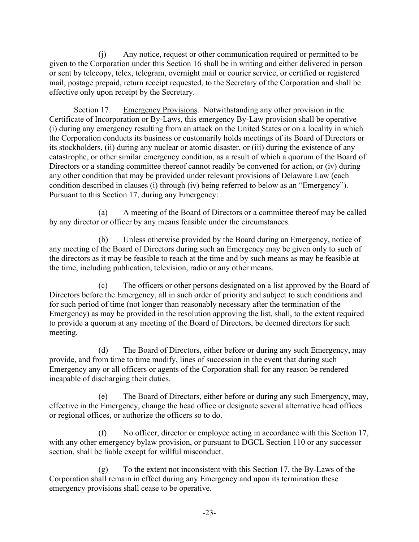(j) Any notice, request or other communication required or permitted to be given to the Corporation under this [Section](#page-18-0) 16 shall be in writing and either delivered in person or sent by telecopy, telex, telegram, overnight mail or courier service, or certified or registered mail, postage prepaid, return receipt requested, to the Secretary of the Corporation and shall be effective only upon receipt by the Secretary.

<span id="page-22-0"></span>Section 17. Emergency Provisions. Notwithstanding any other provision in the Certificate of Incorporation or By-Laws, this emergency By-Law provision shall be operative (i) during any emergency resulting from an attack on the United States or on a locality in which the Corporation conducts its business or customarily holds meetings of its Board of Directors or its stockholders, (ii) during any nuclear or atomic disaster, or (iii) during the existence of any catastrophe, or other similar emergency condition, as a result of which a quorum of the Board of Directors or a standing committee thereof cannot readily be convened for action, or (iv) during any other condition that may be provided under relevant provisions of Delaware Law (each condition described in clauses (i) through (iv) being referred to below as an "Emergency"). Pursuant to this [Section](#page-22-0) 17, during any Emergency:

(a) A meeting of the Board of Directors or a committee thereof may be called by any director or officer by any means feasible under the circumstances.

(b) Unless otherwise provided by the Board during an Emergency, notice of any meeting of the Board of Directors during such an Emergency may be given only to such of the directors as it may be feasible to reach at the time and by such means as may be feasible at the time, including publication, television, radio or any other means.

(c) The officers or other persons designated on a list approved by the Board of Directors before the Emergency, all in such order of priority and subject to such conditions and for such period of time (not longer than reasonably necessary after the termination of the Emergency) as may be provided in the resolution approving the list, shall, to the extent required to provide a quorum at any meeting of the Board of Directors, be deemed directors for such meeting.

(d) The Board of Directors, either before or during any such Emergency, may provide, and from time to time modify, lines of succession in the event that during such Emergency any or all officers or agents of the Corporation shall for any reason be rendered incapable of discharging their duties.

(e) The Board of Directors, either before or during any such Emergency, may, effective in the Emergency, change the head office or designate several alternative head offices or regional offices, or authorize the officers so to do.

(f) No officer, director or employee acting in accordance with this [Section](#page-22-0) 17, with any other emergency bylaw provision, or pursuant to DGCL Section 110 or any successor section, shall be liable except for willful misconduct.

 $(g)$  To the extent not inconsistent with this [Section](#page-22-0) 17, the By-Laws of the Corporation shall remain in effect during any Emergency and upon its termination these emergency provisions shall cease to be operative.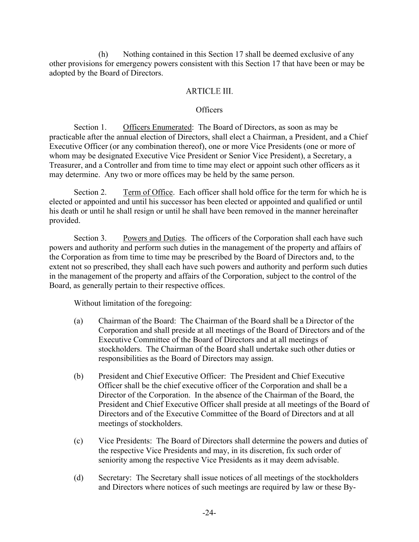(h) Nothing contained in this [Section](#page-22-0) 17 shall be deemed exclusive of any other provisions for emergency powers consistent with this [Section](#page-22-0) 17 that have been or may be adopted by the Board of Directors.

### **ARTICLE III.**

### **Officers**

Section 1. Officers Enumerated: The Board of Directors, as soon as may be practicable after the annual election of Directors, shall elect a Chairman, a President, and a Chief Executive Officer (or any combination thereof), one or more Vice Presidents (one or more of whom may be designated Executive Vice President or Senior Vice President), a Secretary, a Treasurer, and a Controller and from time to time may elect or appoint such other officers as it may determine. Any two or more offices may be held by the same person.

Section 2. Term of Office. Each officer shall hold office for the term for which he is elected or appointed and until his successor has been elected or appointed and qualified or until his death or until he shall resign or until he shall have been removed in the manner hereinafter provided.

Section 3. Powers and Duties. The officers of the Corporation shall each have such powers and authority and perform such duties in the management of the property and affairs of the Corporation as from time to time may be prescribed by the Board of Directors and, to the extent not so prescribed, they shall each have such powers and authority and perform such duties in the management of the property and affairs of the Corporation, subject to the control of the Board, as generally pertain to their respective offices.

Without limitation of the foregoing:

- (a) Chairman of the Board: The Chairman of the Board shall be a Director of the Corporation and shall preside at all meetings of the Board of Directors and of the Executive Committee of the Board of Directors and at all meetings of stockholders. The Chairman of the Board shall undertake such other duties or responsibilities as the Board of Directors may assign.
- (b) President and Chief Executive Officer: The President and Chief Executive Officer shall be the chief executive officer of the Corporation and shall be a Director of the Corporation. In the absence of the Chairman of the Board, the President and Chief Executive Officer shall preside at all meetings of the Board of Directors and of the Executive Committee of the Board of Directors and at all meetings of stockholders.
- (c) Vice Presidents: The Board of Directors shall determine the powers and duties of the respective Vice Presidents and may, in its discretion, fix such order of seniority among the respective Vice Presidents as it may deem advisable.
- (d) Secretary: The Secretary shall issue notices of all meetings of the stockholders and Directors where notices of such meetings are required by law or these By-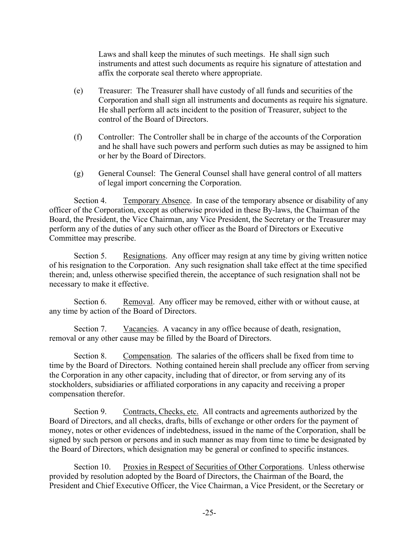Laws and shall keep the minutes of such meetings. He shall sign such instruments and attest such documents as require his signature of attestation and affix the corporate seal thereto where appropriate.

- (e) Treasurer: The Treasurer shall have custody of all funds and securities of the Corporation and shall sign all instruments and documents as require his signature. He shall perform all acts incident to the position of Treasurer, subject to the control of the Board of Directors.
- (f) Controller: The Controller shall be in charge of the accounts of the Corporation and he shall have such powers and perform such duties as may be assigned to him or her by the Board of Directors.
- (g) General Counsel: The General Counsel shall have general control of all matters of legal import concerning the Corporation.

Section 4. Temporary Absence. In case of the temporary absence or disability of any officer of the Corporation, except as otherwise provided in these By-laws, the Chairman of the Board, the President, the Vice Chairman, any Vice President, the Secretary or the Treasurer may perform any of the duties of any such other officer as the Board of Directors or Executive Committee may prescribe.

Section 5. Resignations. Any officer may resign at any time by giving written notice of his resignation to the Corporation. Any such resignation shall take effect at the time specified therein; and, unless otherwise specified therein, the acceptance of such resignation shall not be necessary to make it effective.

Section 6. Removal. Any officer may be removed, either with or without cause, at any time by action of the Board of Directors.

Section 7. Vacancies. A vacancy in any office because of death, resignation, removal or any other cause may be filled by the Board of Directors.

Section 8. Compensation. The salaries of the officers shall be fixed from time to time by the Board of Directors. Nothing contained herein shall preclude any officer from serving the Corporation in any other capacity, including that of director, or from serving any of its stockholders, subsidiaries or affiliated corporations in any capacity and receiving a proper compensation therefor.

Section 9. Contracts, Checks, etc. All contracts and agreements authorized by the Board of Directors, and all checks, drafts, bills of exchange or other orders for the payment of money, notes or other evidences of indebtedness, issued in the name of the Corporation, shall be signed by such person or persons and in such manner as may from time to time be designated by the Board of Directors, which designation may be general or confined to specific instances.

Section 10. Proxies in Respect of Securities of Other Corporations. Unless otherwise provided by resolution adopted by the Board of Directors, the Chairman of the Board, the President and Chief Executive Officer, the Vice Chairman, a Vice President, or the Secretary or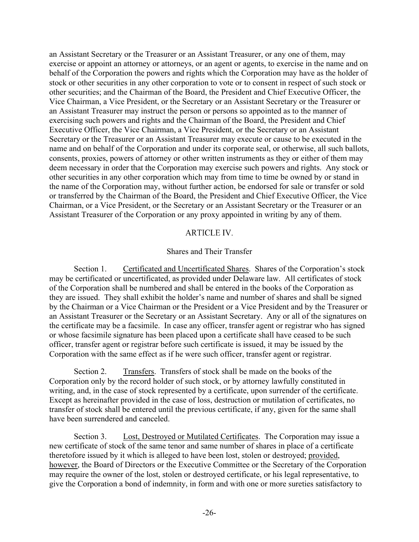an Assistant Secretary or the Treasurer or an Assistant Treasurer, or any one of them, may exercise or appoint an attorney or attorneys, or an agent or agents, to exercise in the name and on behalf of the Corporation the powers and rights which the Corporation may have as the holder of stock or other securities in any other corporation to vote or to consent in respect of such stock or other securities; and the Chairman of the Board, the President and Chief Executive Officer, the Vice Chairman, a Vice President, or the Secretary or an Assistant Secretary or the Treasurer or an Assistant Treasurer may instruct the person or persons so appointed as to the manner of exercising such powers and rights and the Chairman of the Board, the President and Chief Executive Officer, the Vice Chairman, a Vice President, or the Secretary or an Assistant Secretary or the Treasurer or an Assistant Treasurer may execute or cause to be executed in the name and on behalf of the Corporation and under its corporate seal, or otherwise, all such ballots, consents, proxies, powers of attorney or other written instruments as they or either of them may deem necessary in order that the Corporation may exercise such powers and rights. Any stock or other securities in any other corporation which may from time to time be owned by or stand in the name of the Corporation may, without further action, be endorsed for sale or transfer or sold or transferred by the Chairman of the Board, the President and Chief Executive Officer, the Vice Chairman, or a Vice President, or the Secretary or an Assistant Secretary or the Treasurer or an Assistant Treasurer of the Corporation or any proxy appointed in writing by any of them.

## **ARTICLE IV.**

## Shares and Their Transfer

Section 1. Certificated and Uncertificated Shares. Shares of the Corporation's stock may be certificated or uncertificated, as provided under Delaware law. All certificates of stock of the Corporation shall be numbered and shall be entered in the books of the Corporation as they are issued. They shall exhibit the holder's name and number of shares and shall be signed by the Chairman or a Vice Chairman or the President or a Vice President and by the Treasurer or an Assistant Treasurer or the Secretary or an Assistant Secretary. Any or all of the signatures on the certificate may be a facsimile. In case any officer, transfer agent or registrar who has signed or whose facsimile signature has been placed upon a certificate shall have ceased to be such officer, transfer agent or registrar before such certificate is issued, it may be issued by the Corporation with the same effect as if he were such officer, transfer agent or registrar.

Section 2. Transfers. Transfers of stock shall be made on the books of the Corporation only by the record holder of such stock, or by attorney lawfully constituted in writing, and, in the case of stock represented by a certificate, upon surrender of the certificate. Except as hereinafter provided in the case of loss, destruction or mutilation of certificates, no transfer of stock shall be entered until the previous certificate, if any, given for the same shall have been surrendered and canceled.

Section 3. Lost, Destroyed or Mutilated Certificates. The Corporation may issue a new certificate of stock of the same tenor and same number of shares in place of a certificate theretofore issued by it which is alleged to have been lost, stolen or destroyed; provided, however, the Board of Directors or the Executive Committee or the Secretary of the Corporation may require the owner of the lost, stolen or destroyed certificate, or his legal representative, to give the Corporation a bond of indemnity, in form and with one or more sureties satisfactory to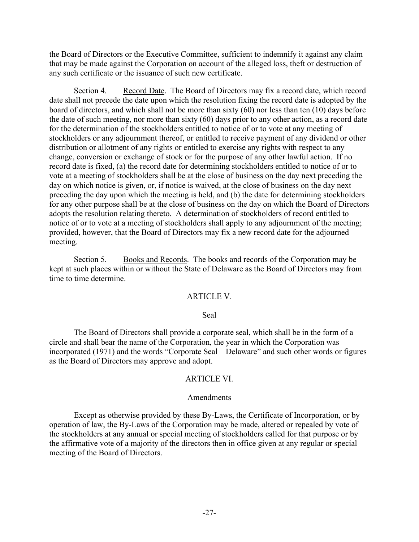the Board of Directors or the Executive Committee, sufficient to indemnify it against any claim that may be made against the Corporation on account of the alleged loss, theft or destruction of any such certificate or the issuance of such new certificate.

Section 4. Record Date. The Board of Directors may fix a record date, which record date shall not precede the date upon which the resolution fixing the record date is adopted by the board of directors, and which shall not be more than sixty (60) nor less than ten (10) days before the date of such meeting, nor more than sixty (60) days prior to any other action, as a record date for the determination of the stockholders entitled to notice of or to vote at any meeting of stockholders or any adjournment thereof, or entitled to receive payment of any dividend or other distribution or allotment of any rights or entitled to exercise any rights with respect to any change, conversion or exchange of stock or for the purpose of any other lawful action. If no record date is fixed, (a) the record date for determining stockholders entitled to notice of or to vote at a meeting of stockholders shall be at the close of business on the day next preceding the day on which notice is given, or, if notice is waived, at the close of business on the day next preceding the day upon which the meeting is held, and (b) the date for determining stockholders for any other purpose shall be at the close of business on the day on which the Board of Directors adopts the resolution relating thereto. A determination of stockholders of record entitled to notice of or to vote at a meeting of stockholders shall apply to any adjournment of the meeting; provided, however, that the Board of Directors may fix a new record date for the adjourned meeting.

Section 5. Books and Records. The books and records of the Corporation may be kept at such places within or without the State of Delaware as the Board of Directors may from time to time determine.

#### **ARTICLE V.**

#### Seal

The Board of Directors shall provide a corporate seal, which shall be in the form of a circle and shall bear the name of the Corporation, the year in which the Corporation was incorporated (1971) and the words "Corporate Seal—Delaware" and such other words or figures as the Board of Directors may approve and adopt.

### **ARTICLE VI.**

#### Amendments

Except as otherwise provided by these By-Laws, the Certificate of Incorporation, or by operation of law, the By-Laws of the Corporation may be made, altered or repealed by vote of the stockholders at any annual or special meeting of stockholders called for that purpose or by the affirmative vote of a majority of the directors then in office given at any regular or special meeting of the Board of Directors.